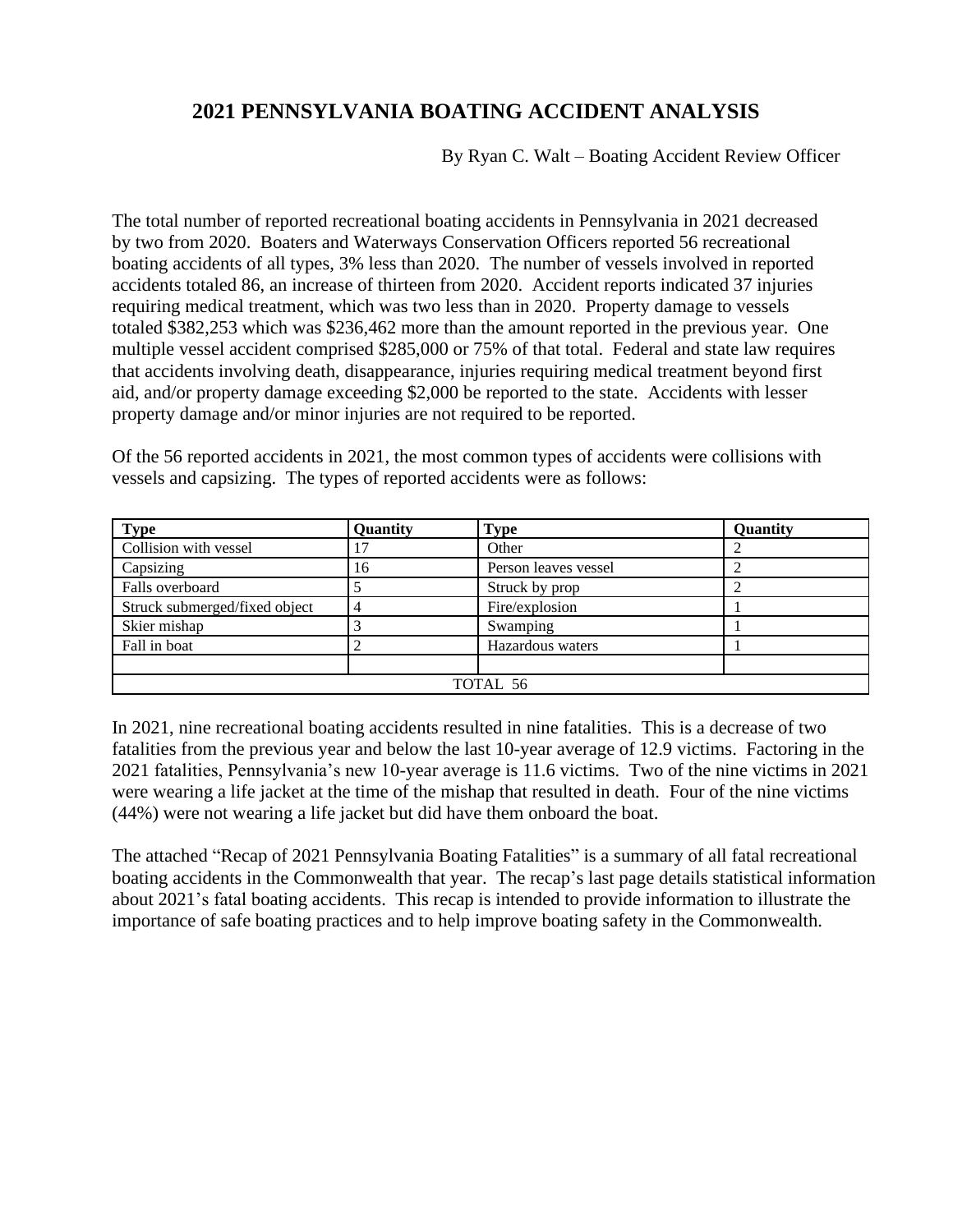## **2021 PENNSYLVANIA BOATING ACCIDENT ANALYSIS**

By Ryan C. Walt – Boating Accident Review Officer

The total number of reported recreational boating accidents in Pennsylvania in 2021 decreased by two from 2020. Boaters and Waterways Conservation Officers reported 56 recreational boating accidents of all types, 3% less than 2020. The number of vessels involved in reported accidents totaled 86, an increase of thirteen from 2020. Accident reports indicated 37 injuries requiring medical treatment, which was two less than in 2020. Property damage to vessels totaled \$382,253 which was \$236,462 more than the amount reported in the previous year. One multiple vessel accident comprised \$285,000 or 75% of that total. Federal and state law requires that accidents involving death, disappearance, injuries requiring medical treatment beyond first aid, and/or property damage exceeding \$2,000 be reported to the state. Accidents with lesser property damage and/or minor injuries are not required to be reported.

Of the 56 reported accidents in 2021, the most common types of accidents were collisions with vessels and capsizing. The types of reported accidents were as follows:

| <b>Type</b>                   | Quantity | Type                 | Quantity |
|-------------------------------|----------|----------------------|----------|
| Collision with vessel         |          | Other                |          |
| Capsizing                     | 16       | Person leaves vessel |          |
| Falls overboard               |          | Struck by prop       |          |
| Struck submerged/fixed object |          | Fire/explosion       |          |
| Skier mishap                  |          | Swamping             |          |
| Fall in boat                  |          | Hazardous waters     |          |
|                               |          |                      |          |
| TOTAL 56                      |          |                      |          |

In 2021, nine recreational boating accidents resulted in nine fatalities. This is a decrease of two fatalities from the previous year and below the last 10-year average of 12.9 victims. Factoring in the 2021 fatalities, Pennsylvania's new 10-year average is 11.6 victims. Two of the nine victims in 2021 were wearing a life jacket at the time of the mishap that resulted in death. Four of the nine victims (44%) were not wearing a life jacket but did have them onboard the boat.

The attached "Recap of 2021 Pennsylvania Boating Fatalities" is a summary of all fatal recreational boating accidents in the Commonwealth that year. The recap's last page details statistical information about 2021's fatal boating accidents. This recap is intended to provide information to illustrate the importance of safe boating practices and to help improve boating safety in the Commonwealth.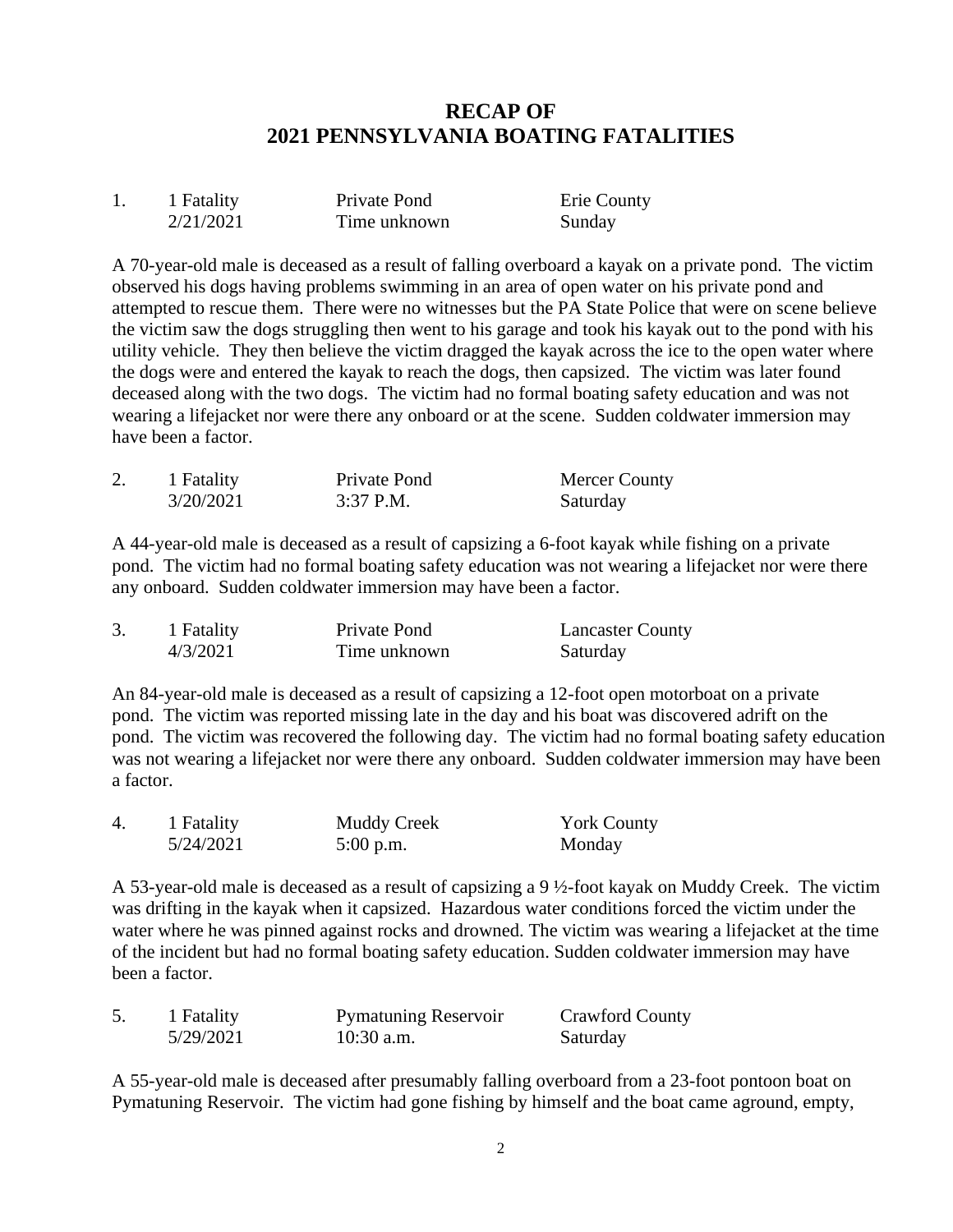## **RECAP OF 2021 PENNSYLVANIA BOATING FATALITIES**

| 1 Fatality | Private Pond | Erie County |
|------------|--------------|-------------|
| 2/21/2021  | Time unknown | Sunday      |

A 70-year-old male is deceased as a result of falling overboard a kayak on a private pond. The victim observed his dogs having problems swimming in an area of open water on his private pond and attempted to rescue them. There were no witnesses but the PA State Police that were on scene believe the victim saw the dogs struggling then went to his garage and took his kayak out to the pond with his utility vehicle. They then believe the victim dragged the kayak across the ice to the open water where the dogs were and entered the kayak to reach the dogs, then capsized. The victim was later found deceased along with the two dogs. The victim had no formal boating safety education and was not wearing a lifejacket nor were there any onboard or at the scene. Sudden coldwater immersion may have been a factor.

| 1 Fatality | Private Pond | Mercer County |
|------------|--------------|---------------|
| 3/20/2021  | $3:37$ P.M.  | Saturday      |

A 44-year-old male is deceased as a result of capsizing a 6-foot kayak while fishing on a private pond. The victim had no formal boating safety education was not wearing a lifejacket nor were there any onboard. Sudden coldwater immersion may have been a factor.

| 1 Fatality | Private Pond | <b>Lancaster County</b> |
|------------|--------------|-------------------------|
| 4/3/2021   | Time unknown | Saturday                |

An 84-year-old male is deceased as a result of capsizing a 12-foot open motorboat on a private pond. The victim was reported missing late in the day and his boat was discovered adrift on the pond. The victim was recovered the following day. The victim had no formal boating safety education was not wearing a lifejacket nor were there any onboard. Sudden coldwater immersion may have been a factor.

| $\overline{4}$ . | 1 Fatality | <b>Muddy Creek</b> | <b>York County</b> |
|------------------|------------|--------------------|--------------------|
|                  | 5/24/2021  | $5:00$ p.m.        | Monday             |

A 53-year-old male is deceased as a result of capsizing a 9 ½-foot kayak on Muddy Creek. The victim was drifting in the kayak when it capsized. Hazardous water conditions forced the victim under the water where he was pinned against rocks and drowned. The victim was wearing a lifejacket at the time of the incident but had no formal boating safety education. Sudden coldwater immersion may have been a factor.

| 1 Fatality | <b>Pymatuning Reservoir</b> | <b>Crawford County</b> |
|------------|-----------------------------|------------------------|
| 5/29/2021  | $10:30$ a.m.                | Saturday               |

A 55-year-old male is deceased after presumably falling overboard from a 23-foot pontoon boat on Pymatuning Reservoir. The victim had gone fishing by himself and the boat came aground, empty,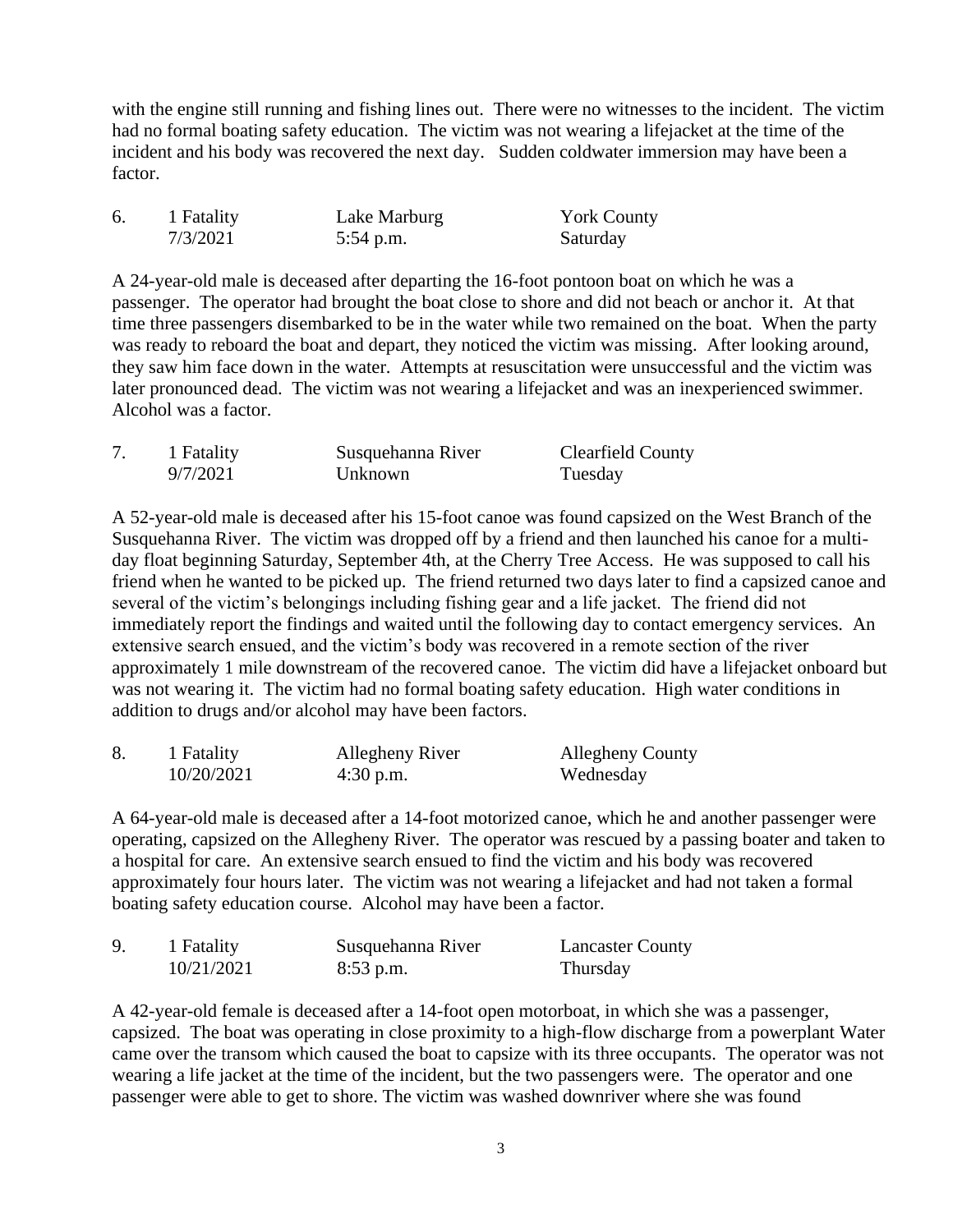with the engine still running and fishing lines out. There were no witnesses to the incident. The victim had no formal boating safety education. The victim was not wearing a lifejacket at the time of the incident and his body was recovered the next day. Sudden coldwater immersion may have been a factor.

| 1 Fatality | Lake Marburg | <b>York County</b> |
|------------|--------------|--------------------|
| 7/3/2021   | $5:54$ p.m.  | Saturday           |

A 24-year-old male is deceased after departing the 16-foot pontoon boat on which he was a passenger. The operator had brought the boat close to shore and did not beach or anchor it. At that time three passengers disembarked to be in the water while two remained on the boat. When the party was ready to reboard the boat and depart, they noticed the victim was missing. After looking around, they saw him face down in the water. Attempts at resuscitation were unsuccessful and the victim was later pronounced dead. The victim was not wearing a lifejacket and was an inexperienced swimmer. Alcohol was a factor.

| 1 Fatality | Susquehanna River | <b>Clearfield County</b> |
|------------|-------------------|--------------------------|
| 9/7/2021   | Unknown           | Tuesday                  |

A 52-year-old male is deceased after his 15-foot canoe was found capsized on the West Branch of the Susquehanna River. The victim was dropped off by a friend and then launched his canoe for a multiday float beginning Saturday, September 4th, at the Cherry Tree Access. He was supposed to call his friend when he wanted to be picked up. The friend returned two days later to find a capsized canoe and several of the victim's belongings including fishing gear and a life jacket. The friend did not immediately report the findings and waited until the following day to contact emergency services. An extensive search ensued, and the victim's body was recovered in a remote section of the river approximately 1 mile downstream of the recovered canoe. The victim did have a lifejacket onboard but was not wearing it. The victim had no formal boating safety education. High water conditions in addition to drugs and/or alcohol may have been factors.

| 1 Fatality | Allegheny River | Allegheny County |
|------------|-----------------|------------------|
| 10/20/2021 | $4:30$ p.m.     | Wednesday        |

A 64-year-old male is deceased after a 14-foot motorized canoe, which he and another passenger were operating, capsized on the Allegheny River. The operator was rescued by a passing boater and taken to a hospital for care. An extensive search ensued to find the victim and his body was recovered approximately four hours later. The victim was not wearing a lifejacket and had not taken a formal boating safety education course. Alcohol may have been a factor.

| 1 Fatality | Susquehanna River | <b>Lancaster County</b> |
|------------|-------------------|-------------------------|
| 10/21/2021 | $8:53$ p.m.       | Thursday                |

A 42-year-old female is deceased after a 14-foot open motorboat, in which she was a passenger, capsized. The boat was operating in close proximity to a high-flow discharge from a powerplant Water came over the transom which caused the boat to capsize with its three occupants. The operator was not wearing a life jacket at the time of the incident, but the two passengers were. The operator and one passenger were able to get to shore. The victim was washed downriver where she was found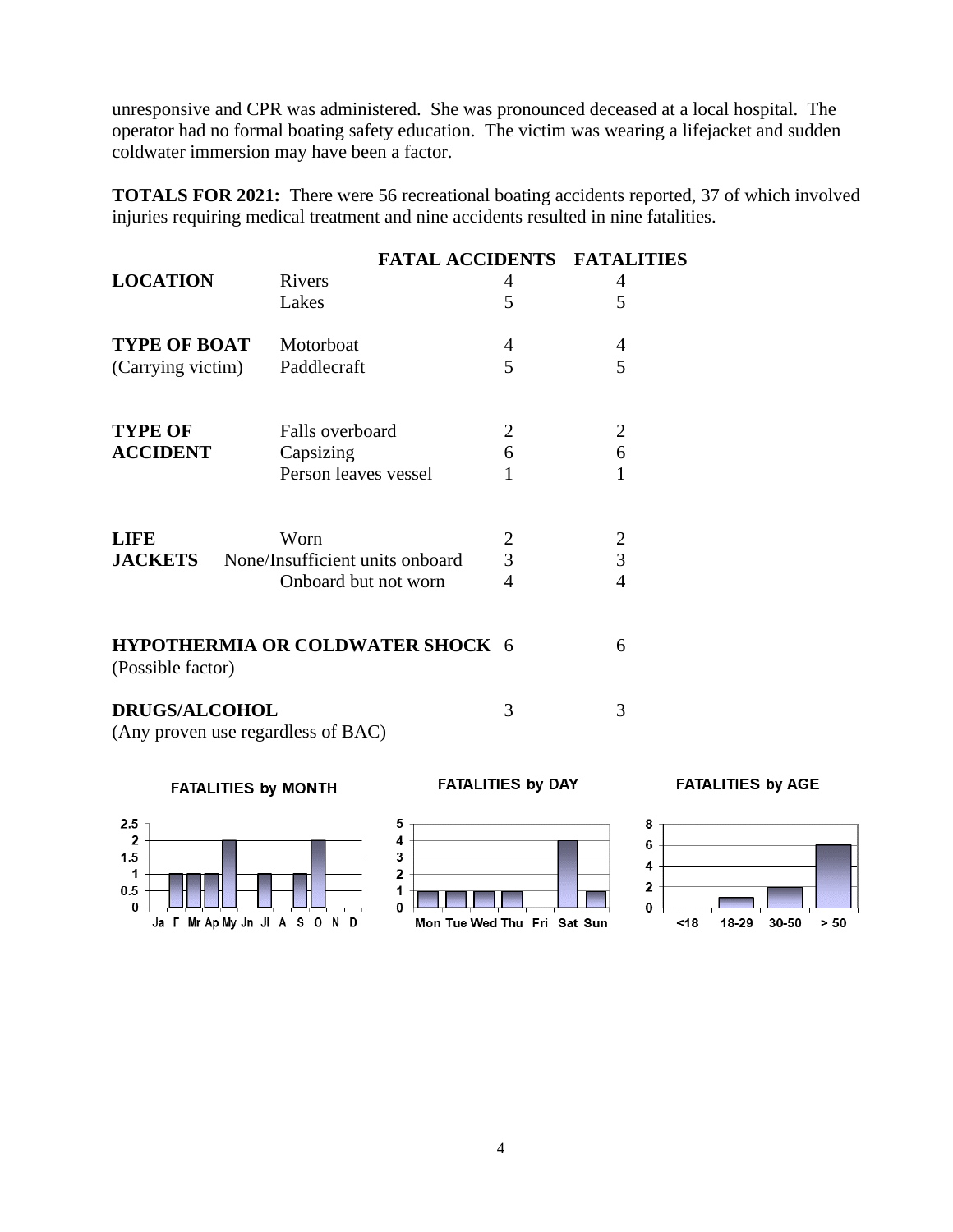unresponsive and CPR was administered. She was pronounced deceased at a local hospital. The operator had no formal boating safety education. The victim was wearing a lifejacket and sudden coldwater immersion may have been a factor.

**TOTALS FOR 2021:** There were 56 recreational boating accidents reported, 37 of which involved injuries requiring medical treatment and nine accidents resulted in nine fatalities.

|                      |                                    |                | <b>FATAL ACCIDENTS FATALITIES</b> |
|----------------------|------------------------------------|----------------|-----------------------------------|
| <b>LOCATION</b>      | <b>Rivers</b>                      | 4              | 4                                 |
|                      | Lakes                              | 5              | 5                                 |
| <b>TYPE OF BOAT</b>  | Motorboat                          | 4              | 4                                 |
| (Carrying victim)    | Paddlecraft                        | 5              | 5                                 |
|                      |                                    |                |                                   |
| <b>TYPE OF</b>       | Falls overboard                    | 2              | $\overline{2}$                    |
| <b>ACCIDENT</b>      | Capsizing                          | 6              | 6                                 |
|                      | Person leaves vessel               | 1              | 1                                 |
| <b>LIFE</b>          | Worn                               | $\overline{2}$ | $\overline{c}$                    |
| <b>JACKETS</b>       | None/Insufficient units onboard    | $\overline{3}$ | 3                                 |
|                      | Onboard but not worn               | 4              | 4                                 |
| (Possible factor)    | HYPOTHERMIA OR COLDWATER SHOCK 6   |                | 6                                 |
| <b>DRUGS/ALCOHOL</b> | (Any proven use regardless of BAC) | 3              | 3                                 |

**FATALITIES by MONTH** 



**FATALITIES by AGE**